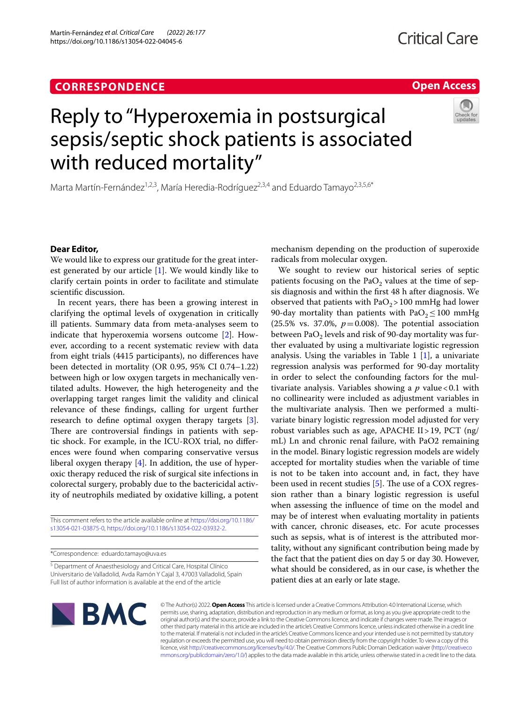Martín‑Fernández *et al. Critical Care (2022) 26:177*  https://doi.org/10.1186/s13054-022-04045-6

## **Open Access**

# Reply to "Hyperoxemia in postsurgical sepsis/septic shock patients is associated with reduced mortality"

Marta Martín-Fernández<sup>1,2,3</sup>, María Heredia-Rodríguez<sup>2,3,4</sup> and Eduardo Tamayo<sup>2,3,5,6\*</sup>

### **Dear Editor,**

We would like to express our gratitude for the great interest generated by our article [\[1](#page-1-0)]. We would kindly like to clarify certain points in order to facilitate and stimulate scientifc discussion.

In recent years, there has been a growing interest in clarifying the optimal levels of oxygenation in critically ill patients. Summary data from meta-analyses seem to indicate that hyperoxemia worsens outcome [[2](#page-1-1)]. However, according to a recent systematic review with data from eight trials (4415 participants), no diferences have been detected in mortality (OR 0.95, 95% CI 0.74–1.22) between high or low oxygen targets in mechanically ventilated adults. However, the high heterogeneity and the overlapping target ranges limit the validity and clinical relevance of these fndings, calling for urgent further research to defne optimal oxygen therapy targets [\[3](#page-1-2)]. There are controversial findings in patients with septic shock. For example, in the ICU-ROX trial, no diferences were found when comparing conservative versus liberal oxygen therapy [[4\]](#page-1-3). In addition, the use of hyperoxic therapy reduced the risk of surgical site infections in colorectal surgery, probably due to the bactericidal activity of neutrophils mediated by oxidative killing, a potent

This comment refers to the article available online at [https://doi.org/10.1186/](https://doi.org/10.1186/s13054-021-03875-0) [s13054-021-03875-0](https://doi.org/10.1186/s13054-021-03875-0), [https://doi.org/10.1186/s13054-022-03932-2.](https://doi.org/10.1186/s13054-022-03932-2)

\*Correspondence: eduardo.tamayo@uva.es

<sup>5</sup> Department of Anaesthesiology and Critical Care, Hospital Clínico Universitario de Valladolid, Avda Ramón Y Cajal 3, 47003 Valladolid, Spain Full list of author information is available at the end of the article

mechanism depending on the production of superoxide radicals from molecular oxygen.

We sought to review our historical series of septic patients focusing on the PaO<sub>2</sub> values at the time of sepsis diagnosis and within the frst 48 h after diagnosis. We observed that patients with  $PaO<sub>2</sub> > 100$  mmHg had lower 90-day mortality than patients with  $PaO<sub>2</sub> \le 100$  mmHg (25.5% vs. 37.0%,  $p = 0.008$ ). The potential association between PaO<sub>2</sub> levels and risk of 90-day mortality was further evaluated by using a multivariate logistic regression analysis. Using the variables in Table  $1 \overline{1}$ , a univariate regression analysis was performed for 90-day mortality in order to select the confounding factors for the multivariate analysis. Variables showing a *p* value<0.1 with no collinearity were included as adjustment variables in the multivariate analysis. Then we performed a multivariate binary logistic regression model adjusted for very robust variables such as age, APACHE II>19, PCT (ng/ mL) Ln and chronic renal failure, with PaO2 remaining in the model. Binary logistic regression models are widely accepted for mortality studies when the variable of time is not to be taken into account and, in fact, they have been used in recent studies  $[5]$  $[5]$ . The use of a COX regression rather than a binary logistic regression is useful when assessing the infuence of time on the model and may be of interest when evaluating mortality in patients with cancer, chronic diseases, etc. For acute processes such as sepsis, what is of interest is the attributed mortality, without any signifcant contribution being made by the fact that the patient dies on day 5 or day 30. However, what should be considered, as in our case, is whether the patient dies at an early or late stage.



© The Author(s) 2022. **Open Access** This article is licensed under a Creative Commons Attribution 4.0 International License, which permits use, sharing, adaptation, distribution and reproduction in any medium or format, as long as you give appropriate credit to the original author(s) and the source, provide a link to the Creative Commons licence, and indicate if changes were made. The images or other third party material in this article are included in the article's Creative Commons licence, unless indicated otherwise in a credit line to the material. If material is not included in the article's Creative Commons licence and your intended use is not permitted by statutory regulation or exceeds the permitted use, you will need to obtain permission directly from the copyright holder. To view a copy of this licence, visit [http://creativecommons.org/licenses/by/4.0/.](http://creativecommons.org/licenses/by/4.0/) The Creative Commons Public Domain Dedication waiver ([http://creativeco](http://creativecommons.org/publicdomain/zero/1.0/) [mmons.org/publicdomain/zero/1.0/](http://creativecommons.org/publicdomain/zero/1.0/)) applies to the data made available in this article, unless otherwise stated in a credit line to the data.